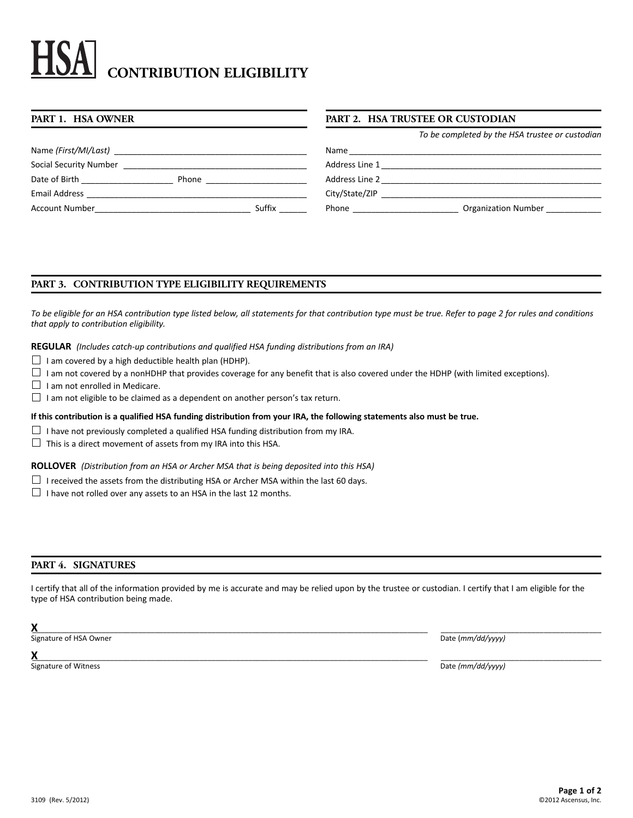# **CONTRIBUTION ELIGIBILITY**

| PART 1. HSA OWNER                                                                                                                                                                                                              |                                                                                                                                                                                                                                      |        | <b>PART 2. HSA TRUSTEE OR CUSTODIAN</b> |                                                 |
|--------------------------------------------------------------------------------------------------------------------------------------------------------------------------------------------------------------------------------|--------------------------------------------------------------------------------------------------------------------------------------------------------------------------------------------------------------------------------------|--------|-----------------------------------------|-------------------------------------------------|
|                                                                                                                                                                                                                                |                                                                                                                                                                                                                                      |        |                                         | To be completed by the HSA trustee or custodian |
|                                                                                                                                                                                                                                |                                                                                                                                                                                                                                      |        |                                         |                                                 |
|                                                                                                                                                                                                                                |                                                                                                                                                                                                                                      |        |                                         |                                                 |
| Date of Birth _______________                                                                                                                                                                                                  | Phone <b>that the contract of the contract of the contract of the contract of the contract of the contract of the contract of the contract of the contract of the contract of the contract of the contract of the contract of th</b> |        |                                         |                                                 |
|                                                                                                                                                                                                                                |                                                                                                                                                                                                                                      |        |                                         | City/State/ZIP                                  |
| Account Number and the state of the state of the state of the state of the state of the state of the state of the state of the state of the state of the state of the state of the state of the state of the state of the stat |                                                                                                                                                                                                                                      | Suffix | Phone _________________________         | Organization Number                             |
|                                                                                                                                                                                                                                |                                                                                                                                                                                                                                      |        |                                         |                                                 |

# **PART 3. CONTRIBUTION TYPE ELIGIBILITY REQUIREMENTS**

*To be eligible for an HSA contribution type listed below, all statements for that contribution type must be true. Refer to page 2 for rules and conditions that apply to contribution eligibility.*

**REGULAR** *(Includes catch-up contributions and qualified HSA funding distributions from an IRA)*

 $\Box$  I am covered by a high deductible health plan (HDHP).

 $\Box$  I am not covered by a nonHDHP that provides coverage for any benefit that is also covered under the HDHP (with limited exceptions).

 $\Box$  I am not enrolled in Medicare.

 $\Box$  I am not eligible to be claimed as a dependent on another person's tax return.

**If this contribution is a qualified HSA funding distribution from your IRA, the following statements also must be true.**

- $\Box$  I have not previously completed a qualified HSA funding distribution from my IRA.
- $\Box$  This is a direct movement of assets from my IRA into this HSA.

**ROLLOVER** *(Distribution from an HSA or Archer MSA that is being deposited into this HSA)* 

- $\Box$  I received the assets from the distributing HSA or Archer MSA within the last 60 days.
- $\Box$  I have not rolled over any assets to an HSA in the last 12 months.

# **PART 4. SIGNATURES**

I certify that all of the information provided by me is accurate and may be relied upon by the trustee or custodian. I certify that I am eligible for the type of HSA contribution being made.

**X**\_\_\_\_\_\_\_\_\_\_\_\_\_\_\_\_\_\_\_\_\_\_\_\_\_\_\_\_\_\_\_\_\_\_\_\_\_\_\_\_\_\_\_\_\_\_\_\_\_\_\_\_\_\_\_\_\_\_\_\_\_\_\_\_\_\_\_\_\_\_\_\_\_\_\_\_\_\_\_\_\_\_\_\_\_\_\_\_\_\_\_\_\_\_\_\_\_ \_\_\_\_\_\_\_\_\_\_\_\_\_\_\_\_\_\_\_\_\_\_\_\_\_\_\_\_\_\_\_\_\_\_\_\_\_\_\_ Signature of HSA Owner Date (*mm/dd/yyyy*)

**X**\_\_\_\_\_\_\_\_\_\_\_\_\_\_\_\_\_\_\_\_\_\_\_\_\_\_\_\_\_\_\_\_\_\_\_\_\_\_\_\_\_\_\_\_\_\_\_\_\_\_\_\_\_\_\_\_\_\_\_\_\_\_\_\_\_\_\_\_\_\_\_\_\_\_\_\_\_\_\_\_\_\_\_\_\_\_\_\_\_\_\_\_\_\_\_\_\_ \_\_\_\_\_\_\_\_\_\_\_\_\_\_\_\_\_\_\_\_\_\_\_\_\_\_\_\_\_\_\_\_\_\_\_\_\_\_\_

Signature of Witness **Date** *(mm/dd/yyyy)* Date **Contained by Date** *(mm/dd/yyyy)*